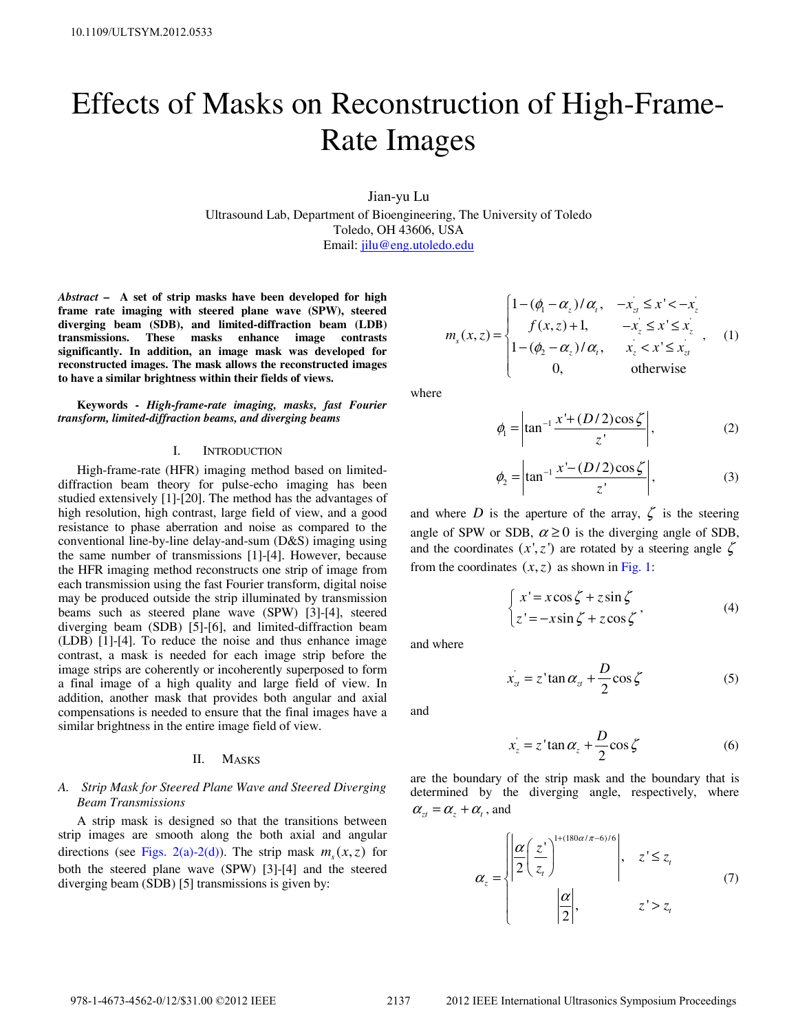# Effects of Masks on Reconstruction of High-Frame-Rate Images

Jian-yu Lu

Ultrasound Lab, Department of Bioengineering, The University of Toledo Toledo, OH 43606, USA Email: jilu@eng.utoledo.edu

*Abstract* **– A set of strip masks have been developed for high frame rate imaging with steered plane wave (SPW), steered diverging beam (SDB), and limited-diffraction beam (LDB) transmissions. These masks enhance image contrasts significantly. In addition, an image mask was developed for reconstructed images. The mask allows the reconstructed images to have a similar brightness within their fields of views.** 

**Keywords -** *High-frame-rate imaging, masks, fast Fourier transform, limited-diffraction beams, and diverging beams* 

# I. INTRODUCTION

High-frame-rate (HFR) imaging method based on limiteddiffraction beam theory for pulse-echo imaging has been studied extensively [1]-[20]. The method has the advantages of high resolution, high contrast, large field of view, and a good resistance to phase aberration and noise as compared to the conventional line-by-line delay-and-sum (D&S) imaging using the same number of transmissions [1]-[4]. However, because the HFR imaging method reconstructs one strip of image from each transmission using the fast Fourier transform, digital noise may be produced outside the strip illuminated by transmission beams such as steered plane wave (SPW) [3]-[4], steered diverging beam (SDB) [5]-[6], and limited-diffraction beam (LDB) [1]-[4]. To reduce the noise and thus enhance image contrast, a mask is needed for each image strip before the image strips are coherently or incoherently superposed to form a final image of a high quality and large field of view. In addition, another mask that provides both angular and axial compensations is needed to ensure that the final images have a similar brightness in the entire image field of view.

#### II. MASKS

# *A. Strip Mask for Steered Plane Wave and Steered Diverging Beam Transmissions*

A strip mask is designed so that the transitions between strip images are smooth along the both axial and angular directions (see Figs. 2(a)-2(d)). The strip mask  $m<sub>s</sub>(x, z)$  for both the steered plane wave (SPW) [3]-[4] and the steered diverging beam (SDB) [5] transmissions is given by:

$$
m_{s}(x, z) = \begin{cases} 1 - (\phi_{1} - \alpha_{z})/\alpha_{t}, & -x_{z} \leq x' < -x_{z} \\ f(x, z) + 1, & -x_{z} \leq x' \leq x_{z} \\ 1 - (\phi_{2} - \alpha_{z})/\alpha_{t}, & x_{z} < x' \leq x_{z} \\ 0, & \text{otherwise} \end{cases}
$$
 (1)

where

$$
\phi_1 = \left| \tan^{-1} \frac{x' + (D/2)\cos\zeta}{z'} \right|,\tag{2}
$$

$$
\phi_2 = \left| \tan^{-1} \frac{x' - (D/2)\cos\zeta}{z'} \right|,\tag{3}
$$

and where *D* is the aperture of the array,  $\zeta$  is the steering angle of SPW or SDB,  $\alpha \ge 0$  is the diverging angle of SDB, and the coordinates  $(x', z')$  are rotated by a steering angle  $\zeta$ from the coordinates  $(x, z)$  as shown in Fig. 1:

$$
\begin{cases}\nx' = x\cos\zeta + z\sin\zeta\\ \nz' = -x\sin\zeta + z\cos\zeta\n\end{cases}
$$
\n(4)

and where

$$
x'_{zt} = z' \tan \alpha_{zt} + \frac{D}{2} \cos \zeta \tag{5}
$$

and

$$
x_z = z \tan \alpha_z + \frac{D}{2} \cos \zeta \tag{6}
$$

are the boundary of the strip mask and the boundary that is determined by the diverging angle, respectively, where  $\alpha_{zt} = \alpha_{t} + \alpha_{t}$ , and

$$
\alpha_{z} = \begin{cases} \left| \frac{\alpha}{2} \left( \frac{z}{z_{t}} \right)^{1 + (180\alpha/\pi - 6)/6} \right|, & z' \le z_{t} \\ \left| \frac{\alpha}{2} \right|, & z' > z_{t} \end{cases}
$$
(7)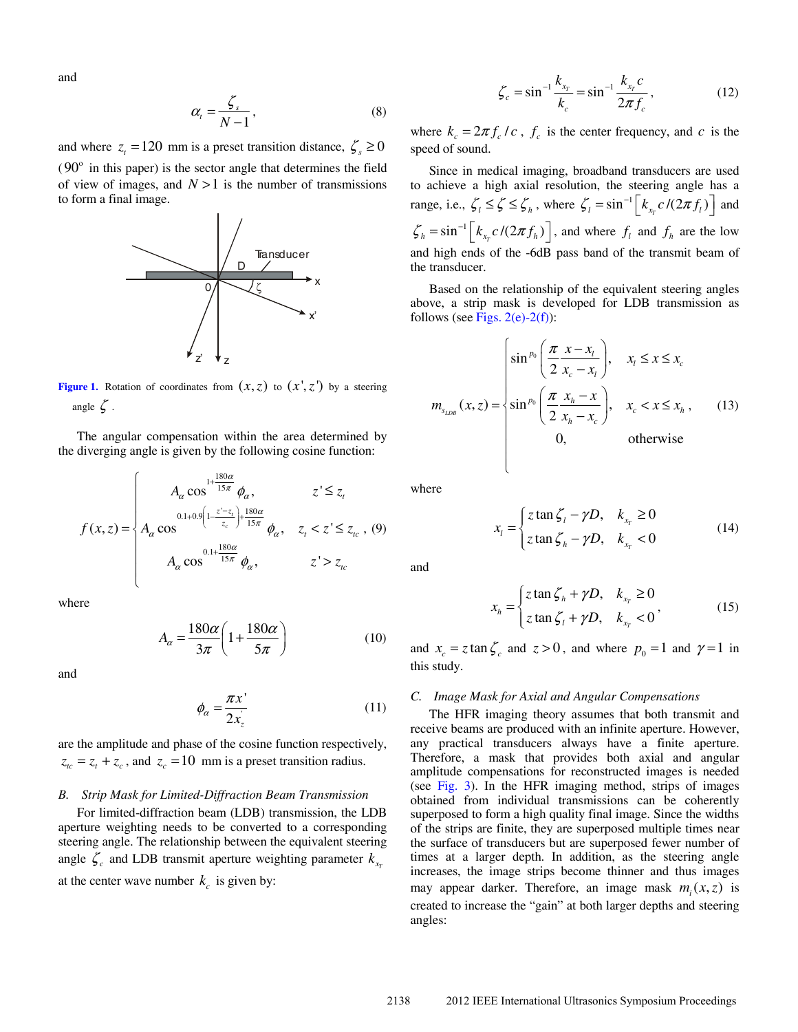and

$$
\alpha_t = \frac{\zeta_s}{N-1},\tag{8}
$$

and where  $z_t = 120$  mm is a preset transition distance,  $\zeta_s \ge 0$  $(90^{\circ}$  in this paper) is the sector angle that determines the field of view of images, and  $N > 1$  is the number of transmissions to form a final image.



**Figure 1.** Rotation of coordinates from  $(x, z)$  to  $(x', z')$  by a steering angle  $\zeta$ .

The angular compensation within the area determined by the diverging angle is given by the following cosine function:

$$
f(x,z) = \begin{cases} A_{\alpha} \cos^{\frac{1+180\alpha}{15\pi}} \phi_{\alpha}, & z' \le z_{t} \\ A_{\alpha} \cos^{\frac{0.1+0.9\left(1-\frac{z'-z_{t}}{z_{c}}\right)+\frac{180\alpha}{15\pi}} \phi_{\alpha}, & z_{t} < z' \le z_{t_{c}}, (9) \\ A_{\alpha} \cos^{\frac{0.1+\frac{180\alpha}{15\pi}}{\phi_{\alpha}}}, & z' > z_{t_{c}} \end{cases}
$$

where

$$
A_{\alpha} = \frac{180\alpha}{3\pi} \left( 1 + \frac{180\alpha}{5\pi} \right) \tag{10}
$$

and

$$
\phi_{\alpha} = \frac{\pi x^{\prime}}{2x_{z}^{\prime}}
$$
\n(11)

are the amplitude and phase of the cosine function respectively,  $z_{tc} = z_t + z_c$ , and  $z_c = 10$  mm is a preset transition radius.

#### *B. Strip Mask for Limited-Diffraction Beam Transmission*

For limited-diffraction beam (LDB) transmission, the LDB aperture weighting needs to be converted to a corresponding steering angle. The relationship between the equivalent steering angle  $\zeta_c$  and LDB transmit aperture weighting parameter  $k_{x_r}$ at the center wave number  $k_c$  is given by:

$$
\zeta_c = \sin^{-1} \frac{k_{x_r}}{k_c} = \sin^{-1} \frac{k_{x_r} c}{2\pi f_c},
$$
\n(12)

where  $k_c = 2\pi f_c / c$ ,  $f_c$  is the center frequency, and *c* is the speed of sound.

Since in medical imaging, broadband transducers are used to achieve a high axial resolution, the steering angle has a range, i.e.,  $\zeta_i \leq \zeta \leq \zeta_h$ , where  $\zeta_i = \sin^{-1} \left[ k_{x_i} c / (2\pi f_i) \right]$  and  $\zeta_h = \sin^{-1} \left[ k_{x_r} c / (2\pi f_h) \right]$ , and where  $f_l$  and  $f_h$  are the low and high ends of the -6dB pass band of the transmit beam of the transducer.

Based on the relationship of the equivalent steering angles above, a strip mask is developed for LDB transmission as follows (see Figs.  $2(e)$ -2(f)):

$$
m_{s_{LDB}}(x, z) = \begin{cases} \sin^{p_0} \left( \frac{\pi}{2} \frac{x - x_i}{x_c - x_l} \right), & x_l \le x \le x_c \\ \sin^{p_0} \left( \frac{\pi}{2} \frac{x_h - x}{x_h - x_c} \right), & x_c < x \le x_h, \\ 0, & \text{otherwise} \end{cases}
$$
(13)

where

$$
x_{l} = \begin{cases} z \tan \zeta_{l} - \gamma D, & k_{x_{r}} \ge 0 \\ z \tan \zeta_{h} - \gamma D, & k_{x_{r}} < 0 \end{cases}
$$
(14)

and

*x*

$$
x_h = \begin{cases} z \tan \zeta_h + \gamma D, & k_{x_r} \ge 0 \\ z \tan \zeta_l + \gamma D, & k_{x_r} < 0 \end{cases}
$$
 (15)

and  $x_c = z \tan \zeta_c$  and  $z > 0$ , and where  $p_0 = 1$  and  $\gamma = 1$  in this study.

## *C. Image Mask for Axial and Angular Compensations*

The HFR imaging theory assumes that both transmit and receive beams are produced with an infinite aperture. However, any practical transducers always have a finite aperture. Therefore, a mask that provides both axial and angular amplitude compensations for reconstructed images is needed (see Fig. 3). In the HFR imaging method, strips of images obtained from individual transmissions can be coherently superposed to form a high quality final image. Since the widths of the strips are finite, they are superposed multiple times near the surface of transducers but are superposed fewer number of times at a larger depth. In addition, as the steering angle increases, the image strips become thinner and thus images may appear darker. Therefore, an image mask  $m<sub>i</sub>(x, z)$  is created to increase the "gain" at both larger depths and steering angles: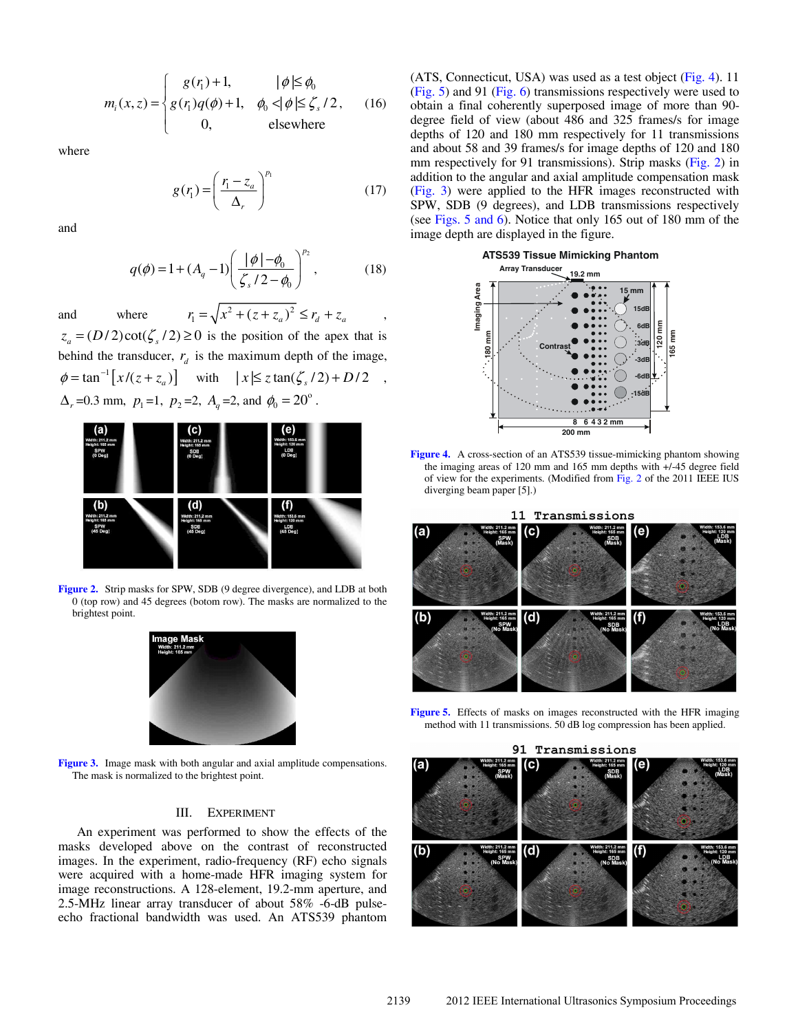$$
m_i(x, z) = \begin{cases} g(r_1) + 1, & |\phi| \le \phi_0 \\ g(r_1)q(\phi) + 1, & \phi_0 < |\phi| \le \zeta_s / 2, \\ 0, & \text{elsewhere} \end{cases} \tag{16}
$$

where

$$
g(r_1) = \left(\frac{r_1 - z_a}{\Delta_r}\right)^{p_1} \tag{17}
$$

and

$$
q(\phi) = 1 + (A_q - 1) \left( \frac{|\phi| - \phi_0}{\zeta_s / 2 - \phi_0} \right)^{p_2},
$$
 (18)

and where  $r_1 = \sqrt{x^2 + (z + z_a)^2} \le r_d + z_a$ ,  $z_a = (D/2)\cot(\zeta/2) \ge 0$  is the position of the apex that is behind the transducer,  $r_d$  is the maximum depth of the image,  $\phi = \tan^{-1} \left[ x/(z + z_a) \right]$  with  $|x| \leq z \tan(\zeta_s/2) + D/2$ ,  $\Delta_r = 0.3$  mm,  $p_1 = 1$ ,  $p_2 = 2$ ,  $A_q = 2$ , and  $\phi_0 = 20^\circ$ .



**Figure 2.** Strip masks for SPW, SDB (9 degree divergence), and LDB at both 0 (top row) and 45 degrees (botom row). The masks are normalized to the brightest point.



**Figure 3.** Image mask with both angular and axial amplitude compensations. The mask is normalized to the brightest point.

#### III. EXPERIMENT

An experiment was performed to show the effects of the masks developed above on the contrast of reconstructed images. In the experiment, radio-frequency (RF) echo signals were acquired with a home-made HFR imaging system for image reconstructions. A 128-element, 19.2-mm aperture, and 2.5-MHz linear array transducer of about 58% -6-dB pulseecho fractional bandwidth was used. An ATS539 phantom (ATS, Connecticut, USA) was used as a test object (Fig. 4). 11 (Fig. 5) and 91 (Fig. 6) transmissions respectively were used to obtain a final coherently superposed image of more than 90 degree field of view (about 486 and 325 frames/s for image depths of 120 and 180 mm respectively for 11 transmissions and about 58 and 39 frames/s for image depths of 120 and 180 mm respectively for 91 transmissions). Strip masks (Fig. 2) in addition to the angular and axial amplitude compensation mask (Fig. 3) were applied to the HFR images reconstructed with SPW, SDB (9 degrees), and LDB transmissions respectively (see Figs. 5 and 6). Notice that only 165 out of 180 mm of the image depth are displayed in the figure.



**Figure 4.** A cross-section of an ATS539 tissue-mimicking phantom showing the imaging areas of 120 mm and 165 mm depths with +/-45 degree field of view for the experiments. (Modified from Fig. 2 of the 2011 IEEE IUS diverging beam paper [5].)



Figure 5. Effects of masks on images reconstructed with the HFR imaging method with 11 transmissions. 50 dB log compression has been applied.